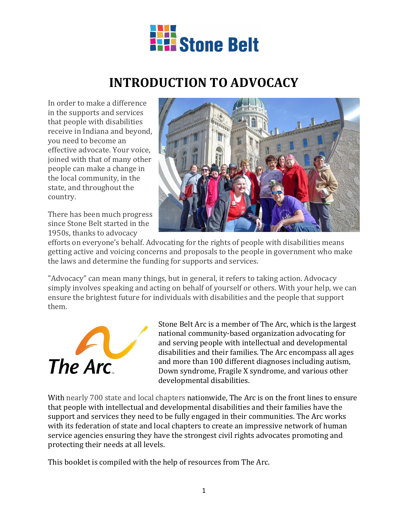

# **INTRODUCTION TO ADVOCACY**

In order to make a difference in the supports and services that people with disabilities receive in Indiana and beyond, you need to become an effective advocate. Your voice, joined with that of many other people can make a change in the local community, in the state, and throughout the country.

There has been much progress since Stone Belt started in the 1950s, thanks to advocacy



efforts on everyone's behalf. Advocating for the rights of people with disabilities means getting active and voicing concerns and proposals to the people in government who make the laws and determine the funding for supports and services.

"Advocacy" can mean many things, but in general, it refers to taking action. Advocacy simply involves speaking and acting on behalf of yourself or others. With your help, we can ensure the brightest future for individuals with disabilities and the people that support them.



Stone Belt Arc is a member of The Arc, which is the largest national community-based organization advocating for and serving people with intellectual and developmental disabilities and their families. The Arc encompass all ages and more than 100 different diagnoses including autism, Down syndrome, Fragile X syndrome, and various other developmental disabilities.

With nearly 700 state and local chapters nationwide, The Arc is on the front lines to ensure that people with intellectual and developmental disabilities and their families have the support and services they need to be fully engaged in their communities. The Arc works with its federation of state and local chapters to create an impressive network of human service agencies ensuring they have the strongest civil rights advocates promoting and protecting their needs at all levels.

This booklet is compiled with the help of resources from The Arc.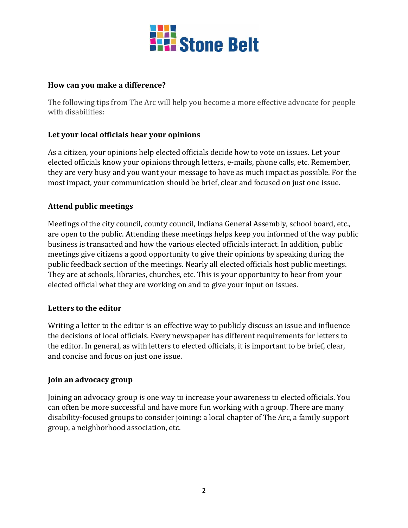

### **How can you make a difference?**

The following tips from The Arc will help you become a more effective advocate for people with disabilities:

### **Let your local officials hear your opinions**

As a citizen, your opinions help elected officials decide how to vote on issues. Let your elected officials know your opinions through letters, e-mails, phone calls, etc. Remember, they are very busy and you want your message to have as much impact as possible. For the most impact, your communication should be brief, clear and focused on just one issue.

#### **Attend public meetings**

Meetings of the city council, county council, Indiana General Assembly, school board, etc., are open to the public. Attending these meetings helps keep you informed of the way public business is transacted and how the various elected officials interact. In addition, public meetings give citizens a good opportunity to give their opinions by speaking during the public feedback section of the meetings. Nearly all elected officials host public meetings. They are at schools, libraries, churches, etc. This is your opportunity to hear from your elected official what they are working on and to give your input on issues.

#### **Letters to the editor**

Writing a letter to the editor is an effective way to publicly discuss an issue and influence the decisions of local officials. Every newspaper has different requirements for letters to the editor. In general, as with letters to elected officials, it is important to be brief, clear, and concise and focus on just one issue.

#### **Join an advocacy group**

Joining an advocacy group is one way to increase your awareness to elected officials. You can often be more successful and have more fun working with a group. There are many disability-focused groups to consider joining: a local chapter of The Arc, a family support group, a neighborhood association, etc.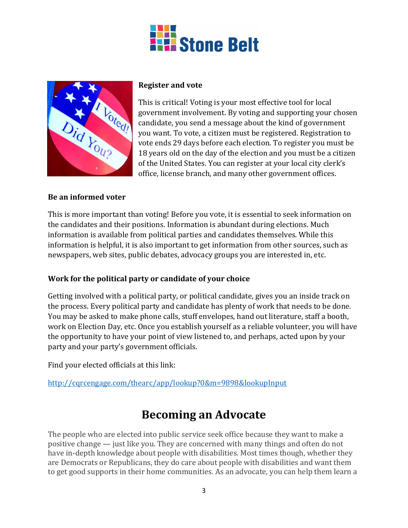



#### **Register and vote**

This is critical! Voting is your most effective tool for local government involvement. By voting and supporting your chosen candidate, you send a message about the kind of government you want. To vote, a citizen must be registered. Registration to vote ends 29 days before each election. To register you must be 18 years old on the day of the election and you must be a citizen of the United States. You can register at your local city clerk's office, license branch, and many other government offices.

#### **Be an informed voter**

This is more important than voting! Before you vote, it is essential to seek information on the candidates and their positions. Information is abundant during elections. Much information is available from political parties and candidates themselves. While this information is helpful, it is also important to get information from other sources, such as newspapers, web sites, public debates, advocacy groups you are interested in, etc.

### **Work for the political party or candidate of your choice**

Getting involved with a political party, or political candidate, gives you an inside track on the process. Every political party and candidate has plenty of work that needs to be done. You may be asked to make phone calls, stuff envelopes, hand out literature, staff a booth, work on Election Day, etc. Once you establish yourself as a reliable volunteer, you will have the opportunity to have your point of view listened to, and perhaps, acted upon by your party and your party's government officials.

Find your elected officials at this link:

<http://cqrcengage.com/thearc/app/lookup?0&m=9898&lookupInput>

### **Becoming an Advocate**

The people who are elected into public service seek office because they want to make a positive change — just like you. They are concerned with many things and often do not have in-depth knowledge about people with disabilities. Most times though, whether they are Democrats or Republicans, they do care about people with disabilities and want them to get good supports in their home communities. As an advocate, you can help them learn a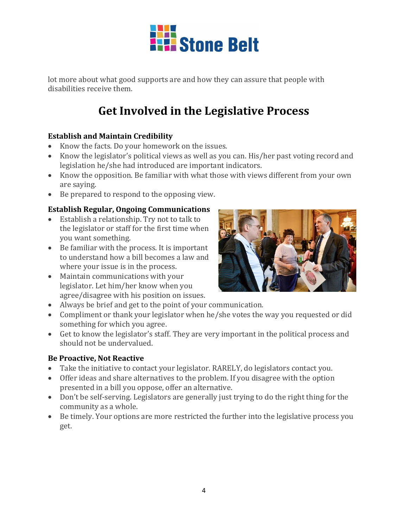

lot more about what good supports are and how they can assure that people with disabilities receive them.

# **Get Involved in the Legislative Process**

### **Establish and Maintain Credibility**

- Know the facts. Do your homework on the issues.
- Know the legislator's political views as well as you can. His/her past voting record and legislation he/she had introduced are important indicators.
- Know the opposition. Be familiar with what those with views different from your own are saying.
- Be prepared to respond to the opposing view.

### **Establish Regular, Ongoing Communications**

- Establish a relationship. Try not to talk to the legislator or staff for the first time when you want something.
- Be familiar with the process. It is important to understand how a bill becomes a law and where your issue is in the process.
- Maintain communications with your legislator. Let him/her know when you agree/disagree with his position on issues.



- Always be brief and get to the point of your communication.
- Compliment or thank your legislator when he/she votes the way you requested or did something for which you agree.
- Get to know the legislator's staff. They are very important in the political process and should not be undervalued.

### **Be Proactive, Not Reactive**

- Take the initiative to contact your legislator. RARELY, do legislators contact you.
- Offer ideas and share alternatives to the problem. If you disagree with the option presented in a bill you oppose, offer an alternative.
- Don't be self-serving. Legislators are generally just trying to do the right thing for the community as a whole.
- Be timely. Your options are more restricted the further into the legislative process you get.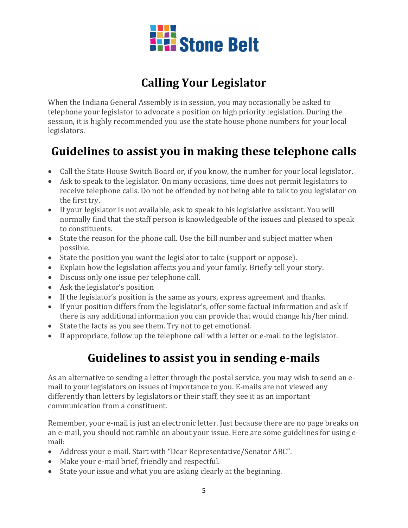

## **Calling Your Legislator**

When the Indiana General Assembly is in session, you may occasionally be asked to telephone your legislator to advocate a position on high priority legislation. During the session, it is highly recommended you use the state house phone numbers for your local legislators.

# **Guidelines to assist you in making these telephone calls**

- Call the State House Switch Board or, if you know, the number for your local legislator.
- Ask to speak to the legislator. On many occasions, time does not permit legislators to receive telephone calls. Do not be offended by not being able to talk to you legislator on the first try.
- If your legislator is not available, ask to speak to his legislative assistant. You will normally find that the staff person is knowledgeable of the issues and pleased to speak to constituents.
- State the reason for the phone call. Use the bill number and subject matter when possible.
- State the position you want the legislator to take (support or oppose).
- Explain how the legislation affects you and your family. Briefly tell your story.
- Discuss only one issue per telephone call.
- Ask the legislator's position
- If the legislator's position is the same as yours, express agreement and thanks.
- If your position differs from the legislator's, offer some factual information and ask if there is any additional information you can provide that would change his/her mind.
- State the facts as you see them. Try not to get emotional.
- If appropriate, follow up the telephone call with a letter or e-mail to the legislator.

### **Guidelines to assist you in sending e-mails**

As an alternative to sending a letter through the postal service, you may wish to send an email to your legislators on issues of importance to you. E-mails are not viewed any differently than letters by legislators or their staff, they see it as an important communication from a constituent.

Remember, your e-mail is just an electronic letter. Just because there are no page breaks on an e-mail, you should not ramble on about your issue. Here are some guidelines for using email:

- Address your e-mail. Start with "Dear Representative/Senator ABC".
- Make your e-mail brief, friendly and respectful.
- State your issue and what you are asking clearly at the beginning.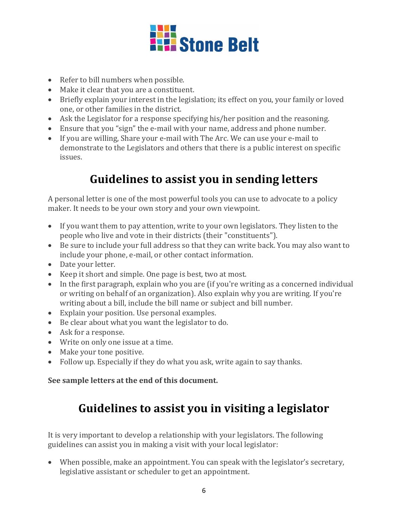

- Refer to bill numbers when possible.
- Make it clear that you are a constituent.
- Briefly explain your interest in the legislation; its effect on you, your family or loved one, or other families in the district.
- Ask the Legislator for a response specifying his/her position and the reasoning.
- Ensure that you "sign" the e-mail with your name, address and phone number.
- If you are willing, Share your e-mail with The Arc. We can use your e-mail to demonstrate to the Legislators and others that there is a public interest on specific issues.

### **Guidelines to assist you in sending letters**

A personal letter is one of the most powerful tools you can use to advocate to a policy maker. It needs to be your own story and your own viewpoint.

- If you want them to pay attention, write to your own legislators. They listen to the people who live and vote in their districts (their "constituents").
- Be sure to include your full address so that they can write back. You may also want to include your phone, e-mail, or other contact information.
- Date your letter.
- Keep it short and simple. One page is best, two at most.
- In the first paragraph, explain who you are (if you're writing as a concerned individual or writing on behalf of an organization). Also explain why you are writing. If you're writing about a bill, include the bill name or subject and bill number.
- Explain your position. Use personal examples.
- Be clear about what you want the legislator to do.
- Ask for a response.
- Write on only one issue at a time.
- Make your tone positive.
- Follow up. Especially if they do what you ask, write again to say thanks.

### **See sample letters at the end of this document.**

### **Guidelines to assist you in visiting a legislator**

It is very important to develop a relationship with your legislators. The following guidelines can assist you in making a visit with your local legislator:

 When possible, make an appointment. You can speak with the legislator's secretary, legislative assistant or scheduler to get an appointment.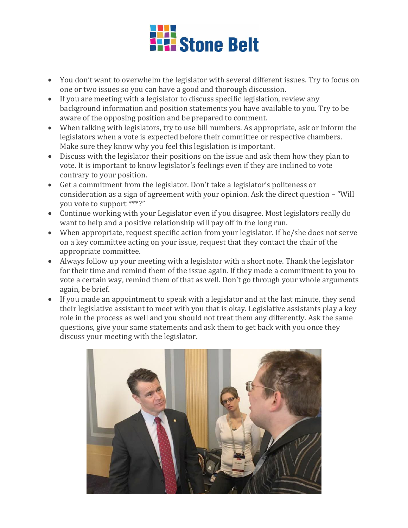

- You don't want to overwhelm the legislator with several different issues. Try to focus on one or two issues so you can have a good and thorough discussion.
- If you are meeting with a legislator to discuss specific legislation, review any background information and position statements you have available to you. Try to be aware of the opposing position and be prepared to comment.
- When talking with legislators, try to use bill numbers. As appropriate, ask or inform the legislators when a vote is expected before their committee or respective chambers. Make sure they know why you feel this legislation is important.
- Discuss with the legislator their positions on the issue and ask them how they plan to vote. It is important to know legislator's feelings even if they are inclined to vote contrary to your position.
- Get a commitment from the legislator. Don't take a legislator's politeness or consideration as a sign of agreement with your opinion. Ask the direct question – "Will you vote to support \*\*\*?"
- Continue working with your Legislator even if you disagree. Most legislators really do want to help and a positive relationship will pay off in the long run.
- When appropriate, request specific action from your legislator. If he/she does not serve on a key committee acting on your issue, request that they contact the chair of the appropriate committee.
- Always follow up your meeting with a legislator with a short note. Thank the legislator for their time and remind them of the issue again. If they made a commitment to you to vote a certain way, remind them of that as well. Don't go through your whole arguments again, be brief.
- If you made an appointment to speak with a legislator and at the last minute, they send their legislative assistant to meet with you that is okay. Legislative assistants play a key role in the process as well and you should not treat them any differently. Ask the same questions, give your same statements and ask them to get back with you once they discuss your meeting with the legislator.

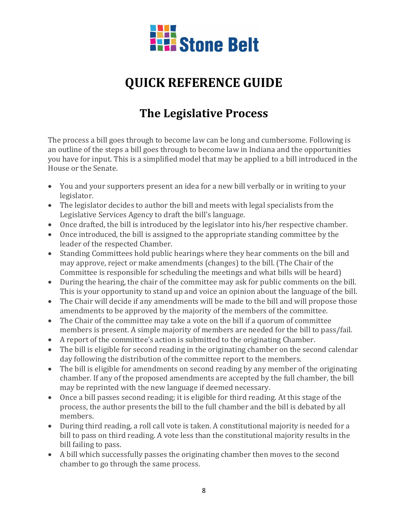

# **QUICK REFERENCE GUIDE**

# **The Legislative Process**

The process a bill goes through to become law can be long and cumbersome. Following is an outline of the steps a bill goes through to become law in Indiana and the opportunities you have for input. This is a simplified model that may be applied to a bill introduced in the House or the Senate.

- You and your supporters present an idea for a new bill verbally or in writing to your legislator.
- The legislator decides to author the bill and meets with legal specialists from the Legislative Services Agency to draft the bill's language.
- Once drafted, the bill is introduced by the legislator into his/her respective chamber.
- Once introduced, the bill is assigned to the appropriate standing committee by the leader of the respected Chamber.
- Standing Committees hold public hearings where they hear comments on the bill and may approve, reject or make amendments (changes) to the bill. (The Chair of the Committee is responsible for scheduling the meetings and what bills will be heard)
- During the hearing, the chair of the committee may ask for public comments on the bill. This is your opportunity to stand up and voice an opinion about the language of the bill.
- The Chair will decide if any amendments will be made to the bill and will propose those amendments to be approved by the majority of the members of the committee.
- The Chair of the committee may take a vote on the bill if a quorum of committee members is present. A simple majority of members are needed for the bill to pass/fail.
- A report of the committee's action is submitted to the originating Chamber.
- The bill is eligible for second reading in the originating chamber on the second calendar day following the distribution of the committee report to the members.
- The bill is eligible for amendments on second reading by any member of the originating chamber. If any of the proposed amendments are accepted by the full chamber, the bill may be reprinted with the new language if deemed necessary.
- Once a bill passes second reading; it is eligible for third reading. At this stage of the process, the author presents the bill to the full chamber and the bill is debated by all members.
- During third reading, a roll call vote is taken. A constitutional majority is needed for a bill to pass on third reading. A vote less than the constitutional majority results in the bill failing to pass.
- A bill which successfully passes the originating chamber then moves to the second chamber to go through the same process.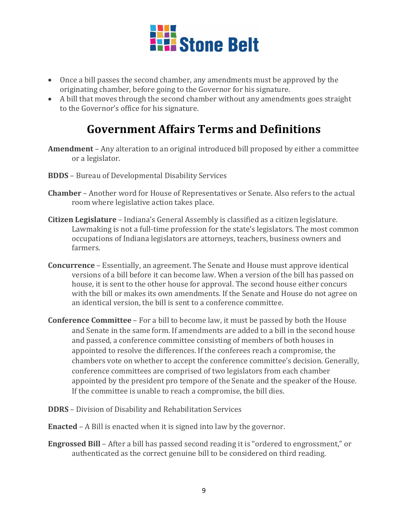

- Once a bill passes the second chamber, any amendments must be approved by the originating chamber, before going to the Governor for his signature.
- A bill that moves through the second chamber without any amendments goes straight to the Governor's office for his signature.

### **Government Affairs Terms and Definitions**

- **Amendment** Any alteration to an original introduced bill proposed by either a committee or a legislator.
- **BDDS** Bureau of Developmental Disability Services
- **Chamber** Another word for House of Representatives or Senate. Also refers to the actual room where legislative action takes place.
- **Citizen Legislature** Indiana's General Assembly is classified as a citizen legislature. Lawmaking is not a full-time profession for the state's legislators. The most common occupations of Indiana legislators are attorneys, teachers, business owners and farmers.
- **Concurrence** Essentially, an agreement. The Senate and House must approve identical versions of a bill before it can become law. When a version of the bill has passed on house, it is sent to the other house for approval. The second house either concurs with the bill or makes its own amendments. If the Senate and House do not agree on an identical version, the bill is sent to a conference committee.
- **Conference Committee** For a bill to become law, it must be passed by both the House and Senate in the same form. If amendments are added to a bill in the second house and passed, a conference committee consisting of members of both houses in appointed to resolve the differences. If the conferees reach a compromise, the chambers vote on whether to accept the conference committee's decision. Generally, conference committees are comprised of two legislators from each chamber appointed by the president pro tempore of the Senate and the speaker of the House. If the committee is unable to reach a compromise, the bill dies.
- **DDRS** Division of Disability and Rehabilitation Services
- **Enacted** A Bill is enacted when it is signed into law by the governor.
- **Engrossed Bill** After a bill has passed second reading it is "ordered to engrossment," or authenticated as the correct genuine bill to be considered on third reading.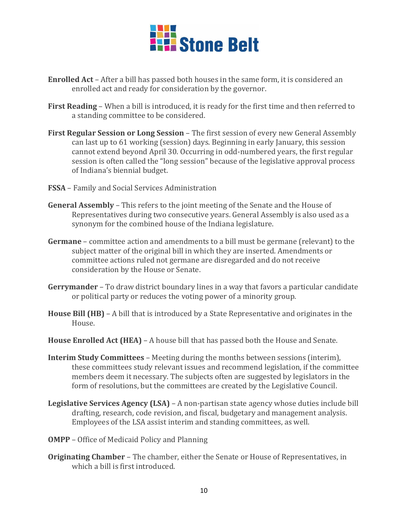

- **Enrolled Act** After a bill has passed both houses in the same form, it is considered an enrolled act and ready for consideration by the governor.
- **First Reading** When a bill is introduced, it is ready for the first time and then referred to a standing committee to be considered.
- **First Regular Session or Long Session** The first session of every new General Assembly can last up to 61 working (session) days. Beginning in early January, this session cannot extend beyond April 30. Occurring in odd-numbered years, the first regular session is often called the "long session" because of the legislative approval process of Indiana's biennial budget.
- **FSSA** Family and Social Services Administration
- **General Assembly** This refers to the joint meeting of the Senate and the House of Representatives during two consecutive years. General Assembly is also used as a synonym for the combined house of the Indiana legislature.
- **Germane** committee action and amendments to a bill must be germane (relevant) to the subject matter of the original bill in which they are inserted. Amendments or committee actions ruled not germane are disregarded and do not receive consideration by the House or Senate.
- **Gerrymander** To draw district boundary lines in a way that favors a particular candidate or political party or reduces the voting power of a minority group.
- **House Bill (HB)** A bill that is introduced by a State Representative and originates in the House.
- **House Enrolled Act (HEA)** A house bill that has passed both the House and Senate.
- **Interim Study Committees** Meeting during the months between sessions (interim), these committees study relevant issues and recommend legislation, if the committee members deem it necessary. The subjects often are suggested by legislators in the form of resolutions, but the committees are created by the Legislative Council.
- **Legislative Services Agency (LSA)** A non-partisan state agency whose duties include bill drafting, research, code revision, and fiscal, budgetary and management analysis. Employees of the LSA assist interim and standing committees, as well.
- **OMPP** Office of Medicaid Policy and Planning
- **Originating Chamber** The chamber, either the Senate or House of Representatives, in which a bill is first introduced.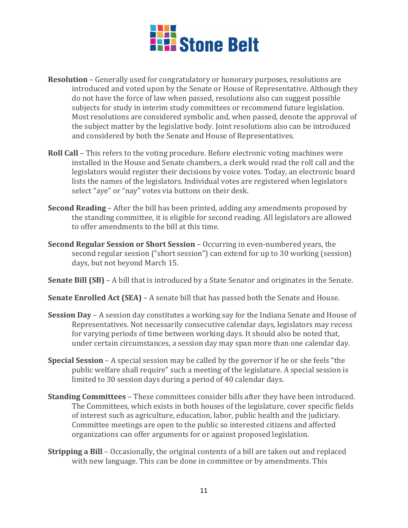

- **Resolution** Generally used for congratulatory or honorary purposes, resolutions are introduced and voted upon by the Senate or House of Representative. Although they do not have the force of law when passed, resolutions also can suggest possible subjects for study in interim study committees or recommend future legislation. Most resolutions are considered symbolic and, when passed, denote the approval of the subject matter by the legislative body. Joint resolutions also can be introduced and considered by both the Senate and House of Representatives.
- **Roll Call** This refers to the voting procedure. Before electronic voting machines were installed in the House and Senate chambers, a clerk would read the roll call and the legislators would register their decisions by voice votes. Today, an electronic board lists the names of the legislators. Individual votes are registered when legislators select "aye" or "nay" votes via buttons on their desk.
- **Second Reading** After the bill has been printed, adding any amendments proposed by the standing committee, it is eligible for second reading. All legislators are allowed to offer amendments to the bill at this time.
- **Second Regular Session or Short Session** Occurring in even-numbered years, the second regular session ("short session") can extend for up to 30 working (session) days, but not beyond March 15.
- **Senate Bill (SB)** A bill that is introduced by a State Senator and originates in the Senate.
- **Senate Enrolled Act (SEA)** A senate bill that has passed both the Senate and House.
- **Session Day** A session day constitutes a working say for the Indiana Senate and House of Representatives. Not necessarily consecutive calendar days, legislators may recess for varying periods of time between working days. It should also be noted that, under certain circumstances, a session day may span more than one calendar day.
- **Special Session** A special session may be called by the governor if he or she feels "the public welfare shall require" such a meeting of the legislature. A special session is limited to 30 session days during a period of 40 calendar days.
- **Standing Committees** These committees consider bills after they have been introduced. The Committees, which exists in both houses of the legislature, cover specific fields of interest such as agriculture, education, labor, public health and the judiciary. Committee meetings are open to the public so interested citizens and affected organizations can offer arguments for or against proposed legislation.
- **Stripping a Bill** Occasionally, the original contents of a bill are taken out and replaced with new language. This can be done in committee or by amendments. This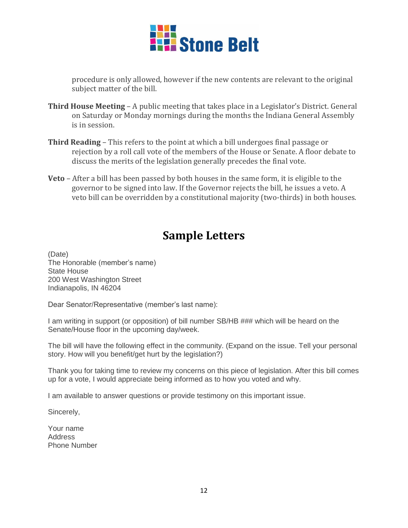

procedure is only allowed, however if the new contents are relevant to the original subject matter of the bill.

- **Third House Meeting** A public meeting that takes place in a Legislator's District. General on Saturday or Monday mornings during the months the Indiana General Assembly is in session.
- **Third Reading** This refers to the point at which a bill undergoes final passage or rejection by a roll call vote of the members of the House or Senate. A floor debate to discuss the merits of the legislation generally precedes the final vote.
- **Veto** After a bill has been passed by both houses in the same form, it is eligible to the governor to be signed into law. If the Governor rejects the bill, he issues a veto. A veto bill can be overridden by a constitutional majority (two-thirds) in both houses.

### **Sample Letters**

(Date) The Honorable (member's name) State House 200 West Washington Street Indianapolis, IN 46204

Dear Senator/Representative (member's last name):

I am writing in support (or opposition) of bill number SB/HB ### which will be heard on the Senate/House floor in the upcoming day/week.

The bill will have the following effect in the community. (Expand on the issue. Tell your personal story. How will you benefit/get hurt by the legislation?)

Thank you for taking time to review my concerns on this piece of legislation. After this bill comes up for a vote, I would appreciate being informed as to how you voted and why.

I am available to answer questions or provide testimony on this important issue.

Sincerely,

Your name **Address** Phone Number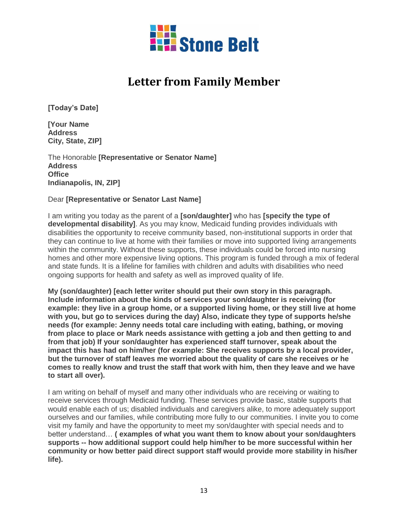

### **Letter from Family Member**

**[Today's Date]**

**[Your Name Address City, State, ZIP]**

The Honorable **[Representative or Senator Name] Address Office Indianapolis, IN, ZIP]**

#### Dear **[Representative or Senator Last Name]**

I am writing you today as the parent of a **[son/daughter]** who has **[specify the type of developmental disability]**. As you may know, Medicaid funding provides individuals with disabilities the opportunity to receive community based, non-institutional supports in order that they can continue to live at home with their families or move into supported living arrangements within the community. Without these supports, these individuals could be forced into nursing homes and other more expensive living options. This program is funded through a mix of federal and state funds. It is a lifeline for families with children and adults with disabilities who need ongoing supports for health and safety as well as improved quality of life.

**My (son/daughter) [each letter writer should put their own story in this paragraph. Include information about the kinds of services your son/daughter is receiving (for example: they live in a group home, or a supported living home, or they still live at home with you, but go to services during the day) Also, indicate they type of supports he/she needs (for example: Jenny needs total care including with eating, bathing, or moving from place to place or Mark needs assistance with getting a job and then getting to and from that job) If your son/daughter has experienced staff turnover, speak about the impact this has had on him/her (for example: She receives supports by a local provider, but the turnover of staff leaves me worried about the quality of care she receives or he comes to really know and trust the staff that work with him, then they leave and we have to start all over).**

I am writing on behalf of myself and many other individuals who are receiving or waiting to receive services through Medicaid funding. These services provide basic, stable supports that would enable each of us; disabled individuals and caregivers alike, to more adequately support ourselves and our families, while contributing more fully to our communities. I invite you to come visit my family and have the opportunity to meet my son/daughter with special needs and to better understand… **( examples of what you want them to know about your son/daughters supports -- how additional support could help him/her to be more successful within her community or how better paid direct support staff would provide more stability in his/her life).**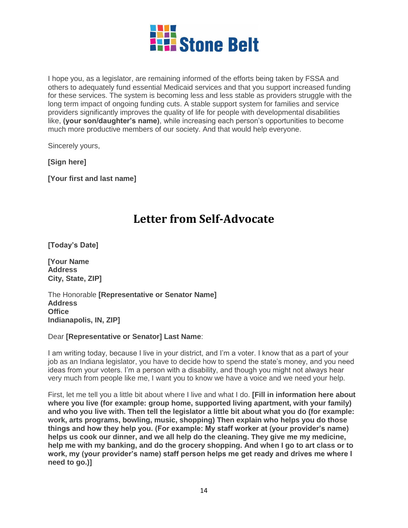

I hope you, as a legislator, are remaining informed of the efforts being taken by FSSA and others to adequately fund essential Medicaid services and that you support increased funding for these services. The system is becoming less and less stable as providers struggle with the long term impact of ongoing funding cuts. A stable support system for families and service providers significantly improves the quality of life for people with developmental disabilities like, **(your son/daughter's name)**, while increasing each person's opportunities to become much more productive members of our society. And that would help everyone.

Sincerely yours,

**[Sign here]**

**[Your first and last name]**

### **Letter from Self-Advocate**

**[Today's Date]**

**[Your Name Address City, State, ZIP]**

The Honorable **[Representative or Senator Name] Address Office Indianapolis, IN, ZIP]**

#### Dear **[Representative or Senator] Last Name**:

I am writing today, because I live in your district, and I'm a voter. I know that as a part of your job as an Indiana legislator, you have to decide how to spend the state's money, and you need ideas from your voters. I'm a person with a disability, and though you might not always hear very much from people like me, I want you to know we have a voice and we need your help.

First, let me tell you a little bit about where I live and what I do. **[Fill in information here about where you live (for example: group home, supported living apartment, with your family) and who you live with. Then tell the legislator a little bit about what you do (for example: work, arts programs, bowling, music, shopping) Then explain who helps you do those things and how they help you. (For example: My staff worker at (your provider's name) helps us cook our dinner, and we all help do the cleaning. They give me my medicine, help me with my banking, and do the grocery shopping. And when I go to art class or to work, my (your provider's name) staff person helps me get ready and drives me where I need to go.)]**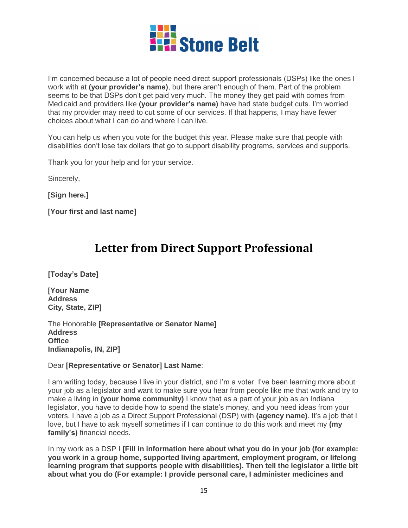

I'm concerned because a lot of people need direct support professionals (DSPs) like the ones I work with at **(your provider's name)**, but there aren't enough of them. Part of the problem seems to be that DSPs don't get paid very much. The money they get paid with comes from Medicaid and providers like **(your provider's name)** have had state budget cuts. I'm worried that my provider may need to cut some of our services. If that happens, I may have fewer choices about what I can do and where I can live.

You can help us when you vote for the budget this year. Please make sure that people with disabilities don't lose tax dollars that go to support disability programs, services and supports.

Thank you for your help and for your service.

Sincerely,

**[Sign here.]**

**[Your first and last name]**

### **Letter from Direct Support Professional**

**[Today's Date]**

**[Your Name Address City, State, ZIP]**

The Honorable **[Representative or Senator Name] Address Office Indianapolis, IN, ZIP]**

#### Dear **[Representative or Senator] Last Name**:

I am writing today, because I live in your district, and I'm a voter. I've been learning more about your job as a legislator and want to make sure you hear from people like me that work and try to make a living in **(your home community)** I know that as a part of your job as an Indiana legislator, you have to decide how to spend the state's money, and you need ideas from your voters. I have a job as a Direct Support Professional (DSP) with **(agency name)**. It's a job that I love, but I have to ask myself sometimes if I can continue to do this work and meet my **(my family's)** financial needs.

In my work as a DSP I **[Fill in information here about what you do in your job (for example: you work in a group home, supported living apartment, employment program, or lifelong learning program that supports people with disabilities). Then tell the legislator a little bit about what you do (For example: I provide personal care, I administer medicines and**